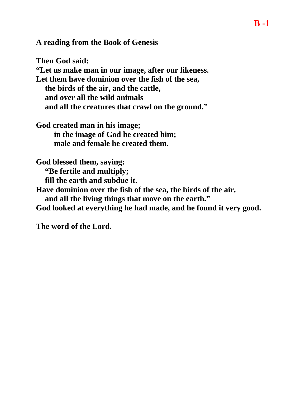**A reading from the Book of Genesis** 

**Then God said: "Let us make man in our image, after our likeness. Let them have dominion over the fish of the sea, the birds of the air, and the cattle, and over all the wild animals and all the creatures that crawl on the ground."**

**God created man in his image; in the image of God he created him; male and female he created them.**

**God blessed them, saying: "Be fertile and multiply;**

**fill the earth and subdue it.**

**Have dominion over the fish of the sea, the birds of the air,**

**and all the living things that move on the earth."**

**God looked at everything he had made, and he found it very good.**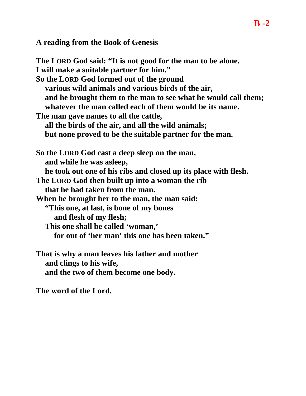**A reading from the Book of Genesis** 

**The LORD God said: "It is not good for the man to be alone. I will make a suitable partner for him." So the LORD God formed out of the ground various wild animals and various birds of the air, and he brought them to the man to see what he would call them; whatever the man called each of them would be its name. The man gave names to all the cattle, all the birds of the air, and all the wild animals; but none proved to be the suitable partner for the man. So the LORD God cast a deep sleep on the man, and while he was asleep, he took out one of his ribs and closed up its place with flesh. The LORD God then built up into a woman the rib that he had taken from the man. When he brought her to the man, the man said: "This one, at last, is bone of my bones and flesh of my flesh; This one shall be called 'woman,' for out of 'her man' this one has been taken." That is why a man leaves his father and mother**

**and clings to his wife, and the two of them become one body.**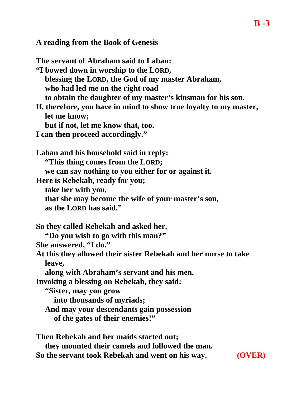**A reading from the Book of Genesis** 

**The servant of Abraham said to Laban: "I bowed down in worship to the LORD, blessing the LORD, the God of my master Abraham, who had led me on the right road to obtain the daughter of my master's kinsman for his son. If, therefore, you have in mind to show true loyalty to my master, let me know; but if not, let me know that, too. I can then proceed accordingly." Laban and his household said in reply: "This thing comes from the LORD; we can say nothing to you either for or against it. Here is Rebekah, ready for you; take her with you, that she may become the wife of your master's son, as the LORD has said." So they called Rebekah and asked her, "Do you wish to go with this man?" She answered, "I do." At this they allowed their sister Rebekah and her nurse to take leave, along with Abraham's servant and his men. Invoking a blessing on Rebekah, they said: "Sister, may you grow into thousands of myriads; And may your descendants gain possession of the gates of their enemies!" Then Rebekah and her maids started out;**

**they mounted their camels and followed the man. So the servant took Rebekah and went on his way. (OVER)**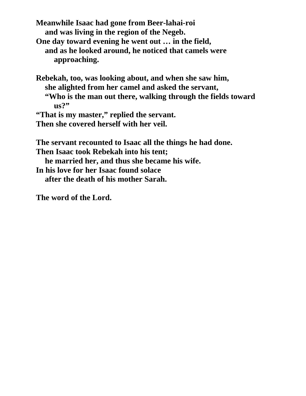**Meanwhile Isaac had gone from Beer-lahai-roi and was living in the region of the Negeb.**

- **One day toward evening he went out … in the field, and as he looked around, he noticed that camels were approaching.**
- **Rebekah, too, was looking about, and when she saw him, she alighted from her camel and asked the servant, "Who is the man out there, walking through the fields toward us?"**

**"That is my master," replied the servant.**

**Then she covered herself with her veil.**

**The servant recounted to Isaac all the things he had done. Then Isaac took Rebekah into his tent; he married her, and thus she became his wife. In his love for her Isaac found solace after the death of his mother Sarah.**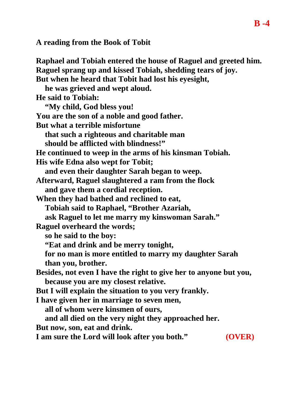**A reading from the Book of Tobit** 

**Raphael and Tobiah entered the house of Raguel and greeted him. Raguel sprang up and kissed Tobiah, shedding tears of joy. But when he heard that Tobit had lost his eyesight, he was grieved and wept aloud. He said to Tobiah: "My child, God bless you! You are the son of a noble and good father. But what a terrible misfortune that such a righteous and charitable man should be afflicted with blindness!" He continued to weep in the arms of his kinsman Tobiah. His wife Edna also wept for Tobit; and even their daughter Sarah began to weep. Afterward, Raguel slaughtered a ram from the flock and gave them a cordial reception. When they had bathed and reclined to eat, Tobiah said to Raphael, "Brother Azariah, ask Raguel to let me marry my kinswoman Sarah." Raguel overheard the words; so he said to the boy: "Eat and drink and be merry tonight, for no man is more entitled to marry my daughter Sarah than you, brother. Besides, not even I have the right to give her to anyone but you, because you are my closest relative. But I will explain the situation to you very frankly. I have given her in marriage to seven men, all of whom were kinsmen of ours, and all died on the very night they approached her. But now, son, eat and drink. I am sure the Lord will look after you both." (OVER)**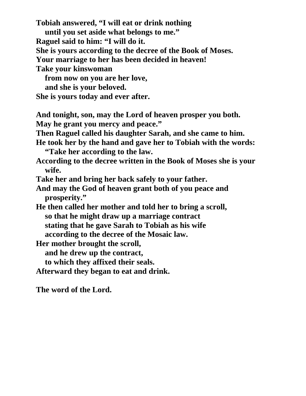**Tobiah answered, "I will eat or drink nothing until you set aside what belongs to me." Raguel said to him: "I will do it. She is yours according to the decree of the Book of Moses. Your marriage to her has been decided in heaven! Take your kinswoman from now on you are her love, and she is your beloved. She is yours today and ever after. And tonight, son, may the Lord of heaven prosper you both. May he grant you mercy and peace." Then Raguel called his daughter Sarah, and she came to him. He took her by the hand and gave her to Tobiah with the words: "Take her according to the law. According to the decree written in the Book of Moses she is your wife. Take her and bring her back safely to your father. And may the God of heaven grant both of you peace and prosperity." He then called her mother and told her to bring a scroll, so that he might draw up a marriage contract stating that he gave Sarah to Tobiah as his wife according to the decree of the Mosaic law. Her mother brought the scroll, and he drew up the contract, to which they affixed their seals. Afterward they began to eat and drink. The word of the Lord.**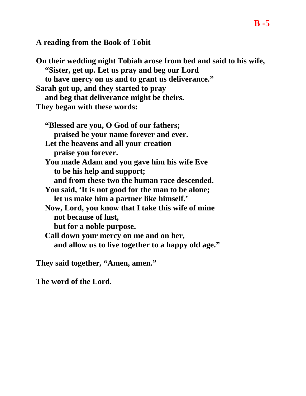**A reading from the Book of Tobit** 

**On their wedding night Tobiah arose from bed and said to his wife, "Sister, get up. Let us pray and beg our Lord to have mercy on us and to grant us deliverance." Sarah got up, and they started to pray and beg that deliverance might be theirs. They began with these words:**

**"Blessed are you, O God of our fathers; praised be your name forever and ever. Let the heavens and all your creation praise you forever. You made Adam and you gave him his wife Eve to be his help and support; and from these two the human race descended. You said, 'It is not good for the man to be alone; let us make him a partner like himself.' Now, Lord, you know that I take this wife of mine not because of lust, but for a noble purpose. Call down your mercy on me and on her, and allow us to live together to a happy old age."**

**They said together, "Amen, amen."**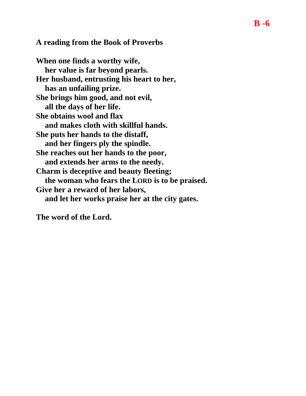## **A reading from the Book of Proverbs**

**When one finds a worthy wife, her value is far beyond pearls. Her husband, entrusting his heart to her, has an unfailing prize. She brings him good, and not evil, all the days of her life. She obtains wool and flax and makes cloth with skillful hands. She puts her hands to the distaff, and her fingers ply the spindle. She reaches out her hands to the poor, and extends her arms to the needy. Charm is deceptive and beauty fleeting; the woman who fears the LORD is to be praised. Give her a reward of her labors, and let her works praise her at the city gates.**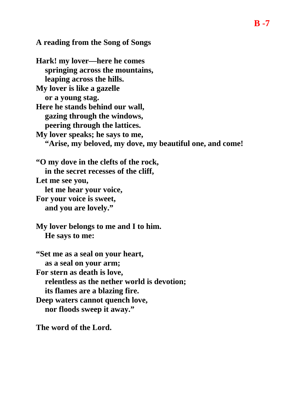**A reading from the Song of Songs** 

**Hark! my lover—here he comes springing across the mountains, leaping across the hills. My lover is like a gazelle or a young stag. Here he stands behind our wall, gazing through the windows, peering through the lattices. My lover speaks; he says to me, "Arise, my beloved, my dove, my beautiful one, and come! "O my dove in the clefts of the rock, in the secret recesses of the cliff, Let me see you, let me hear your voice, For your voice is sweet, and you are lovely." My lover belongs to me and I to him. He says to me: "Set me as a seal on your heart, as a seal on your arm; For stern as death is love, relentless as the nether world is devotion; its flames are a blazing fire. Deep waters cannot quench love, nor floods sweep it away."**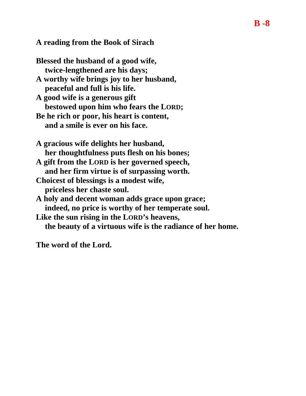## **A reading from the Book of Sirach**

**Blessed the husband of a good wife, twice-lengthened are his days; A worthy wife brings joy to her husband, peaceful and full is his life.**

**A good wife is a generous gift bestowed upon him who fears the LORD;**

**Be he rich or poor, his heart is content, and a smile is ever on his face.**

**A gracious wife delights her husband, her thoughtfulness puts flesh on his bones;**

**A gift from the LORD is her governed speech, and her firm virtue is of surpassing worth.**

- **Choicest of blessings is a modest wife, priceless her chaste soul.**
- **A holy and decent woman adds grace upon grace; indeed, no price is worthy of her temperate soul.**

**Like the sun rising in the LORD's heavens, the beauty of a virtuous wife is the radiance of her home.**